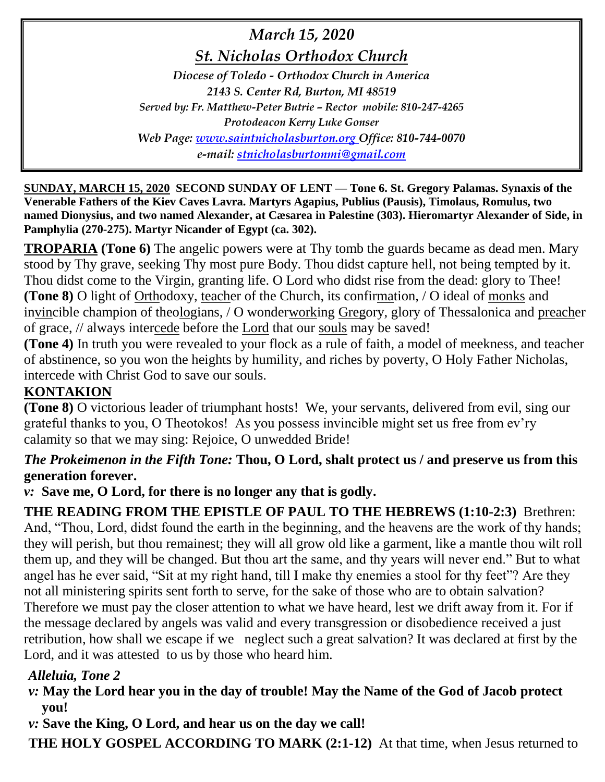*March 15, 2020 St. Nicholas Orthodox Church Diocese of Toledo - Orthodox Church in America 2143 S. Center Rd, Burton, MI 48519 Served by: Fr. Matthew-Peter Butrie – Rector mobile: 810-247-4265 Protodeacon Kerry Luke Gonser Web Page: [www.saintnicholasburton.org](http://www.saintnicholasburton.org/) Office: 810-744-0070 e-mail: [stnicholasburtonmi@gmail.com](mailto:stnicholasburtonmi@gmail.com)*

**SUNDAY, MARCH 15, 2020 SECOND SUNDAY OF LENT — Tone 6. St. Gregory Palamas. Synaxis of the Venerable Fathers of the Kiev Caves Lavra. Martyrs Agapius, Publius (Pausis), Timolaus, Romulus, two named Dionysius, and two named Alexander, at Cæsarea in Palestine (303). Hieromartyr Alexander of Side, in Pamphylia (270-275). Martyr Nicander of Egypt (ca. 302).**

**TROPARIA (Tone 6)** The angelic powers were at Thy tomb the guards became as dead men. Mary stood by Thy grave, seeking Thy most pure Body. Thou didst capture hell, not being tempted by it. Thou didst come to the Virgin, granting life. O Lord who didst rise from the dead: glory to Thee! **(Tone 8)** O light of Orthodoxy, teacher of the Church, its confirmation, / O ideal of monks and invincible champion of theologians, / O wonderworking Gregory, glory of Thessalonica and preacher of grace, // always intercede before the Lord that our souls may be saved!

**(Tone 4)** In truth you were revealed to your flock as a rule of faith, a model of meekness, and teacher of abstinence, so you won the heights by humility, and riches by poverty, O Holy Father Nicholas, intercede with Christ God to save our souls.

# **KONTAKION**

**(Tone 8)** O victorious leader of triumphant hosts! We, your servants, delivered from evil, sing our grateful thanks to you, O Theotokos! As you possess invincible might set us free from ev'ry calamity so that we may sing: Rejoice, O unwedded Bride!

## *The Prokeimenon in the Fifth Tone:* **Thou, O Lord, shalt protect us / and preserve us from this generation forever.**

*v:* **Save me, O Lord, for there is no longer any that is godly.**

**THE READING FROM THE EPISTLE OF PAUL TO THE HEBREWS (1:10-2:3)** Brethren: And, "Thou, Lord, didst found the earth in the beginning, and the heavens are the work of thy hands; they will perish, but thou remainest; they will all grow old like a garment, like a mantle thou wilt roll them up, and they will be changed. But thou art the same, and thy years will never end." But to what angel has he ever said, "Sit at my right hand, till I make thy enemies a stool for thy feet"? Are they not all ministering spirits sent forth to serve, for the sake of those who are to obtain salvation? Therefore we must pay the closer attention to what we have heard, lest we drift away from it. For if the message declared by angels was valid and every transgression or disobedience received a just retribution, how shall we escape if we neglect such a great salvation? It was declared at first by the Lord, and it was attested to us by those who heard him.

# *Alleluia, Tone 2*

## *v:* **May the Lord hear you in the day of trouble! May the Name of the God of Jacob protect you!**

*v:* **Save the King, O Lord, and hear us on the day we call!**

**THE HOLY GOSPEL ACCORDING TO MARK (2:1-12)** At that time, when Jesus returned to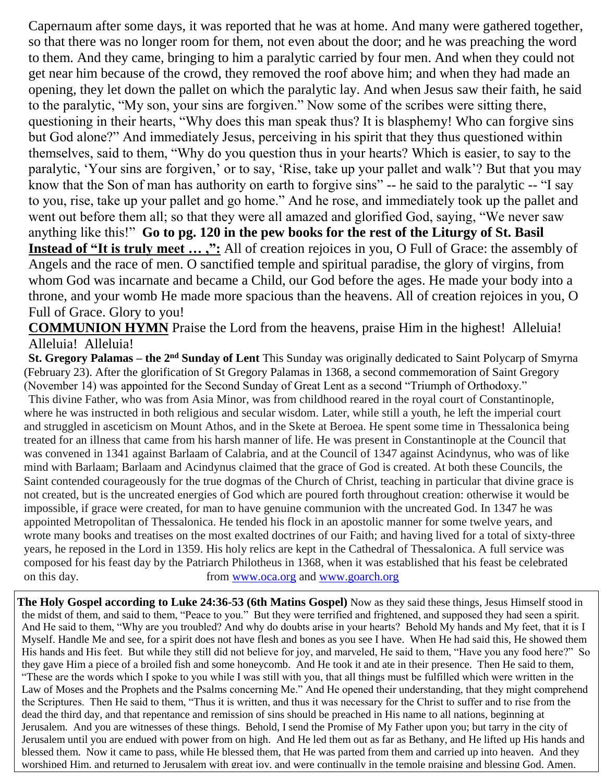Capernaum after some days, it was reported that he was at home. And many were gathered together, so that there was no longer room for them, not even about the door; and he was preaching the word to them. And they came, bringing to him a paralytic carried by four men. And when they could not get near him because of the crowd, they removed the roof above him; and when they had made an opening, they let down the pallet on which the paralytic lay. And when Jesus saw their faith, he said to the paralytic, "My son, your sins are forgiven." Now some of the scribes were sitting there, questioning in their hearts, "Why does this man speak thus? It is blasphemy! Who can forgive sins but God alone?" And immediately Jesus, perceiving in his spirit that they thus questioned within themselves, said to them, "Why do you question thus in your hearts? Which is easier, to say to the paralytic, 'Your sins are forgiven,' or to say, 'Rise, take up your pallet and walk'? But that you may know that the Son of man has authority on earth to forgive sins" -- he said to the paralytic -- "I say to you, rise, take up your pallet and go home." And he rose, and immediately took up the pallet and went out before them all; so that they were all amazed and glorified God, saying, "We never saw anything like this!" **Go to pg. 120 in the pew books for the rest of the Liturgy of St. Basil Instead of "It is truly meet ...,":** All of creation rejoices in you, O Full of Grace: the assembly of Angels and the race of men. O sanctified temple and spiritual paradise, the glory of virgins, from whom God was incarnate and became a Child, our God before the ages. He made your body into a throne, and your womb He made more spacious than the heavens. All of creation rejoices in you, O Full of Grace. Glory to you!

**COMMUNION HYMN** Praise the Lord from the heavens, praise Him in the highest! Alleluia! Alleluia! Alleluia!

**St. Gregory Palamas – the 2nd Sunday of Lent** This Sunday was originally dedicated to Saint Polycarp of Smyrna (February 23). After the glorification of St Gregory Palamas in 1368, a second commemoration of Saint Gregory (November 14) was appointed for the Second Sunday of Great Lent as a second "Triumph of Orthodoxy."

This divine Father, who was from Asia Minor, was from childhood reared in the royal court of Constantinople, where he was instructed in both religious and secular wisdom. Later, while still a youth, he left the imperial court and struggled in asceticism on Mount Athos, and in the Skete at Beroea. He spent some time in Thessalonica being treated for an illness that came from his harsh manner of life. He was present in Constantinople at the Council that was convened in 1341 against Barlaam of Calabria, and at the Council of 1347 against Acindynus, who was of like mind with Barlaam; Barlaam and Acindynus claimed that the grace of God is created. At both these Councils, the Saint contended courageously for the true dogmas of the Church of Christ, teaching in particular that divine grace is not created, but is the uncreated energies of God which are poured forth throughout creation: otherwise it would be impossible, if grace were created, for man to have genuine communion with the uncreated God. In 1347 he was appointed Metropolitan of Thessalonica. He tended his flock in an apostolic manner for some twelve years, and wrote many books and treatises on the most exalted doctrines of our Faith; and having lived for a total of sixty-three years, he reposed in the Lord in 1359. His holy relics are kept in the Cathedral of Thessalonica. A full service was composed for his feast day by the Patriarch Philotheus in 1368, when it was established that his feast be celebrated on this day. from [www.oca.org](http://www.oca.org/) and [www.goarch.org](http://www.goarch.org/)

**The Holy Gospel according to Luke 24:36-53 (6th Matins Gospel)** Now as they said these things, Jesus Himself stood in the midst of them, and said to them, "Peace to you." But they were terrified and frightened, and supposed they had seen a spirit. And He said to them, "Why are you troubled? And why do doubts arise in your hearts? Behold My hands and My feet, that it is I Myself. Handle Me and see, for a spirit does not have flesh and bones as you see I have. When He had said this, He showed them His hands and His feet. But while they still did not believe for joy, and marveled, He said to them, "Have you any food here?" So they gave Him a piece of a broiled fish and some honeycomb. And He took it and ate in their presence. Then He said to them, "These are the words which I spoke to you while I was still with you, that all things must be fulfilled which were written in the Law of Moses and the Prophets and the Psalms concerning Me." And He opened their understanding, that they might comprehend the Scriptures. Then He said to them, "Thus it is written, and thus it was necessary for the Christ to suffer and to rise from the dead the third day, and that repentance and remission of sins should be preached in His name to all nations, beginning at Jerusalem. And you are witnesses of these things. Behold, I send the Promise of My Father upon you; but tarry in the city of Jerusalem until you are endued with power from on high. And He led them out as far as Bethany, and He lifted up His hands and blessed them. Now it came to pass, while He blessed them, that He was parted from them and carried up into heaven. And they worshiped Him, and returned to Jerusalem with great joy, and were continually in the temple praising and blessing God. Amen.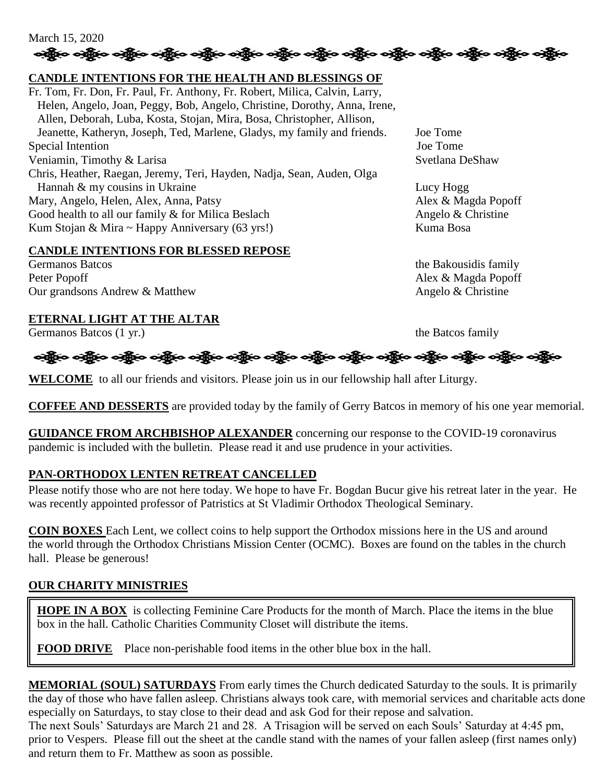### March 15, 2020 ခရွိက ခရွိက ခရွိက ခရွိက ခရွိက ခရွိက ခရွိက ခရွိက ခရွိက ခရွိက ခရွိက ခရွိက ခရွိက ခရွိက ခရွိက ခရွိက

## **CANDLE INTENTIONS FOR THE HEALTH AND BLESSINGS OF**

Fr. Tom, Fr. Don, Fr. Paul, Fr. Anthony, Fr. Robert, Milica, Calvin, Larry, Helen, Angelo, Joan, Peggy, Bob, Angelo, Christine, Dorothy, Anna, Irene, Allen, Deborah, Luba, Kosta, Stojan, Mira, Bosa, Christopher, Allison, Jeanette, Katheryn, Joseph, Ted, Marlene, Gladys, my family and friends. Joe Tome Special Intention Joe Tome Veniamin, Timothy & Larisa Svetlana DeShaw Chris, Heather, Raegan, Jeremy, Teri, Hayden, Nadja, Sean, Auden, Olga Hannah & my cousins in Ukraine Lucy Hogg Lucy Hogg Mary, Angelo, Helen, Alex, Anna, Patsy Alex & Magda Popoff Good health to all our family  $\&$  for Milica Beslach Angelo  $\&$  Christine Kum Stojan & Mira ~ Happy Anniversary (63 yrs!) Kuma Bosa

#### **CANDLE INTENTIONS FOR BLESSED REPOSE**

Germanos Batcos the Bakousidis family Peter Popoff Alex & Magda Popoff Our grandsons Andrew & Matthew Angelo & Christine

### **ETERNAL LIGHT AT THE ALTAR**

Germanos Batcos (1 yr.) the Batcos family



**WELCOME** to all our friends and visitors. Please join us in our fellowship hall after Liturgy.

**COFFEE AND DESSERTS** are provided today by the family of Gerry Batcos in memory of his one year memorial.

**GUIDANCE FROM ARCHBISHOP ALEXANDER** concerning our response to the COVID-19 coronavirus pandemic is included with the bulletin. Please read it and use prudence in your activities.

## **PAN-ORTHODOX LENTEN RETREAT CANCELLED**

Please notify those who are not here today. We hope to have Fr. Bogdan Bucur give his retreat later in the year. He was recently appointed professor of Patristics at St Vladimir Orthodox Theological Seminary.

**COIN BOXES** Each Lent, we collect coins to help support the Orthodox missions here in the US and around the world through the Orthodox Christians Mission Center (OCMC). Boxes are found on the tables in the church hall. Please be generous!

## **OUR CHARITY MINISTRIES**

I

**HOPE IN A BOX** is collecting Feminine Care Products for the month of March. Place the items in the blue box in the hall. Catholic Charities Community Closet will distribute the items.

**FOOD DRIVE** Place non-perishable food items in the other blue box in the hall.

**MEMORIAL (SOUL) SATURDAYS** From early times the Church dedicated Saturday to the souls. It is primarily the day of those who have fallen asleep. Christians always took care, with memorial services and charitable acts done especially on Saturdays, to stay close to their dead and ask God for their repose and salvation.

The next Souls' Saturdays are March 21 and 28. A Trisagion will be served on each Souls' Saturday at 4:45 pm, prior to Vespers. Please fill out the sheet at the candle stand with the names of your fallen asleep (first names only) and return them to Fr. Matthew as soon as possible.